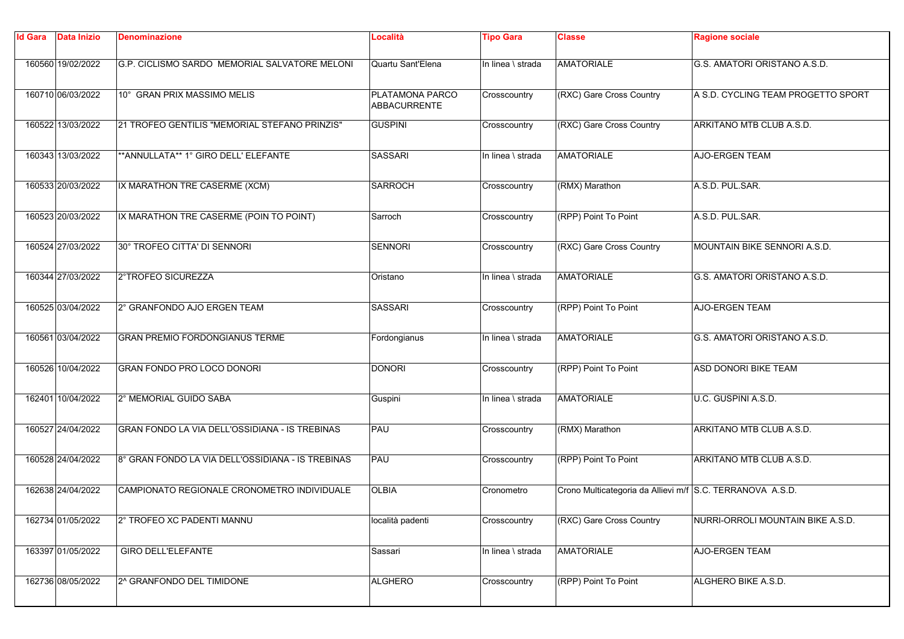| <b>Id Gara</b> | <b>Data Inizio</b> | <b>Denominazione</b>                              | Località                        | <b>Tipo Gara</b>  | Classe                                                    | <b>Ragione sociale</b>             |
|----------------|--------------------|---------------------------------------------------|---------------------------------|-------------------|-----------------------------------------------------------|------------------------------------|
|                | 160560 19/02/2022  | G.P. CICLISMO SARDO MEMORIAL SALVATORE MELONI     | Quartu Sant'Elena               | In linea \ strada | <b>AMATORIALE</b>                                         | G.S. AMATORI ORISTANO A.S.D.       |
|                | 160710 06/03/2022  | 10° GRAN PRIX MASSIMO MELIS                       | PLATAMONA PARCO<br>ABBACURRENTE | Crosscountry      | (RXC) Gare Cross Country                                  | A S.D. CYCLING TEAM PROGETTO SPORT |
|                | 160522 13/03/2022  | 21 TROFEO GENTILIS "MEMORIAL STEFANO PRINZIS"     | <b>GUSPINI</b>                  | Crosscountry      | (RXC) Gare Cross Country                                  | ARKITANO MTB CLUB A.S.D.           |
|                | 160343 13/03/2022  | ** ANNULLATA** 1° GIRO DELL' ELEFANTE             | <b>SASSARI</b>                  | In linea \ strada | <b>AMATORIALE</b>                                         | AJO-ERGEN TEAM                     |
|                | 160533 20/03/2022  | IX MARATHON TRE CASERME (XCM)                     | <b>SARROCH</b>                  | Crosscountry      | (RMX) Marathon                                            | A.S.D. PUL.SAR.                    |
|                | 160523 20/03/2022  | IX MARATHON TRE CASERME (POIN TO POINT)           | Sarroch                         | Crosscountry      | (RPP) Point To Point                                      | A.S.D. PUL.SAR.                    |
|                | 160524 27/03/2022  | 30° TROFEO CITTA' DI SENNORI                      | <b>SENNORI</b>                  | Crosscountry      | (RXC) Gare Cross Country                                  | MOUNTAIN BIKE SENNORI A.S.D.       |
|                | 160344 27/03/2022  | 2°TROFEO SICUREZZA                                | Oristano                        | In linea \ strada | <b>AMATORIALE</b>                                         | G.S. AMATORI ORISTANO A.S.D.       |
|                | 160525 03/04/2022  | 2° GRANFONDO AJO ERGEN TEAM                       | SASSARI                         | Crosscountry      | (RPP) Point To Point                                      | <b>AJO-ERGEN TEAM</b>              |
|                | 160561 03/04/2022  | <b>GRAN PREMIO FORDONGIANUS TERME</b>             | Fordongianus                    | In linea \ strada | <b>AMATORIALE</b>                                         | G.S. AMATORI ORISTANO A.S.D.       |
|                | 160526 10/04/2022  | GRAN FONDO PRO LOCO DONORI                        | <b>DONORI</b>                   | Crosscountry      | (RPP) Point To Point                                      | ASD DONORI BIKE TEAM               |
|                | 162401 10/04/2022  | 2° MEMORIAL GUIDO SABA                            | Guspini                         | In linea \ strada | <b>AMATORIALE</b>                                         | U.C. GUSPINI A.S.D.                |
|                | 160527 24/04/2022  | GRAN FONDO LA VIA DELL'OSSIDIANA - IS TREBINAS    | PAU                             | Crosscountry      | (RMX) Marathon                                            | ARKITANO MTB CLUB A.S.D.           |
|                | 160528 24/04/2022  | 8° GRAN FONDO LA VIA DELL'OSSIDIANA - IS TREBINAS | PAU                             | Crosscountry      | (RPP) Point To Point                                      | ARKITANO MTB CLUB A.S.D.           |
|                | 162638 24/04/2022  | CAMPIONATO REGIONALE CRONOMETRO INDIVIDUALE       | <b>OLBIA</b>                    | Cronometro        | Crono Multicategoria da Allievi m/f S.C. TERRANOVA A.S.D. |                                    |
|                | 162734 01/05/2022  | 2° TROFEO XC PADENTI MANNU                        | località padenti                | Crosscountry      | (RXC) Gare Cross Country                                  | NURRI-ORROLI MOUNTAIN BIKE A.S.D.  |
|                | 163397 01/05/2022  | <b>GIRO DELL'ELEFANTE</b>                         | Sassari                         | In linea \ strada | <b>AMATORIALE</b>                                         | <b>AJO-ERGEN TEAM</b>              |
|                | 162736 08/05/2022  | 2^ GRANFONDO DEL TIMIDONE                         | <b>ALGHERO</b>                  | Crosscountry      | (RPP) Point To Point                                      | ALGHERO BIKE A.S.D.                |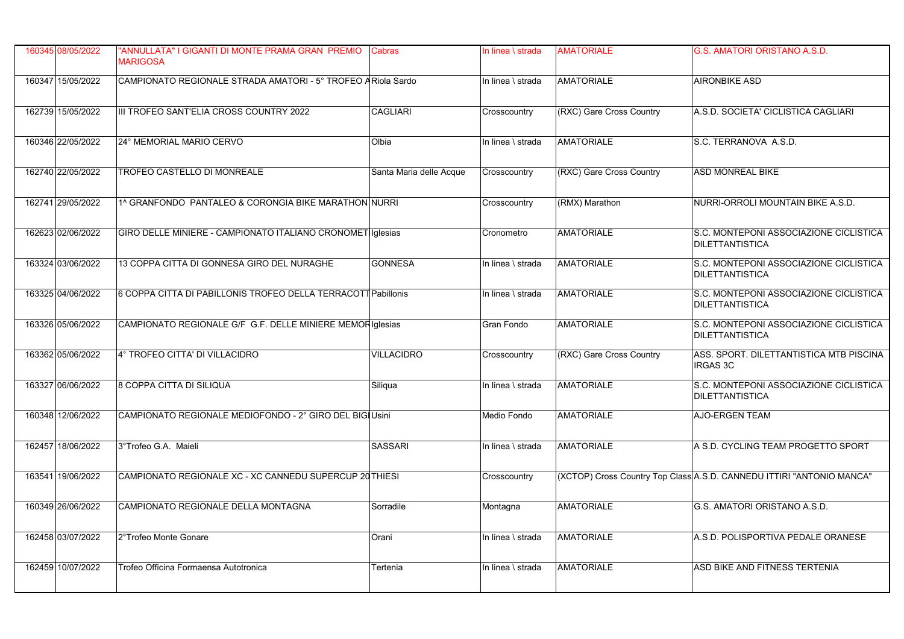| 160345 08/05/2022 | "ANNULLATA" I GIGANTI DI MONTE PRAMA GRAN PREMIO<br><b>MARIGOSA</b> | <b>Cabras</b>           | In linea \ strada | <b>AMATORIALE</b>        | G.S. AMATORI ORISTANO A.S.D.                                          |
|-------------------|---------------------------------------------------------------------|-------------------------|-------------------|--------------------------|-----------------------------------------------------------------------|
| 160347 15/05/2022 | CAMPIONATO REGIONALE STRADA AMATORI - 5° TROFEO ARiola Sardo        |                         | In linea \ strada | <b>AMATORIALE</b>        | <b>AIRONBIKE ASD</b>                                                  |
| 162739 15/05/2022 | III TROFEO SANT'ELIA CROSS COUNTRY 2022                             | <b>CAGLIARI</b>         | Crosscountry      | (RXC) Gare Cross Country | A.S.D. SOCIETA' CICLISTICA CAGLIARI                                   |
| 160346 22/05/2022 | 24° MEMORIAL MARIO CERVO                                            | Olbia                   | In linea \ strada | <b>AMATORIALE</b>        | S.C. TERRANOVA A.S.D.                                                 |
| 162740 22/05/2022 | TROFEO CASTELLO DI MONREALE                                         | Santa Maria delle Acque | Crosscountry      | (RXC) Gare Cross Country | ASD MONREAL BIKE                                                      |
| 162741 29/05/2022 | 1^ GRANFONDO PANTALEO & CORONGIA BIKE MARATHON NURRI                |                         | Crosscountry      | (RMX) Marathon           | NURRI-ORROLI MOUNTAIN BIKE A.S.D.                                     |
| 162623 02/06/2022 | GIRO DELLE MINIERE - CAMPIONATO ITALIANO CRONOMET Iglesias          |                         | Cronometro        | <b>AMATORIALE</b>        | S.C. MONTEPONI ASSOCIAZIONE CICLISTICA<br><b>DILETTANTISTICA</b>      |
| 163324 03/06/2022 | 13 COPPA CITTA DI GONNESA GIRO DEL NURAGHE                          | <b>GONNESA</b>          | In linea \ strada | <b>AMATORIALE</b>        | S.C. MONTEPONI ASSOCIAZIONE CICLISTICA<br><b>DILETTANTISTICA</b>      |
| 163325 04/06/2022 | 6 COPPA CITTA DI PABILLONIS TROFEO DELLA TERRACOTT Pabillonis       |                         | In linea \ strada | <b>AMATORIALE</b>        | S.C. MONTEPONI ASSOCIAZIONE CICLISTICA<br><b>DILETTANTISTICA</b>      |
| 163326 05/06/2022 | CAMPIONATO REGIONALE G/F G.F. DELLE MINIERE MEMOF Iglesias          |                         | Gran Fondo        | <b>AMATORIALE</b>        | S.C. MONTEPONI ASSOCIAZIONE CICLISTICA<br><b>DILETTANTISTICA</b>      |
| 163362 05/06/2022 | 4° TROFEO CITTA' DI VILLACIDRO                                      | <b>VILLACIDRO</b>       | Crosscountry      | (RXC) Gare Cross Country | ASS. SPORT. DILETTANTISTICA MTB PISCINA<br><b>IRGAS 3C</b>            |
| 163327 06/06/2022 | 8 COPPA CITTA DI SILIQUA                                            | Siliqua                 | In linea \ strada | <b>AMATORIALE</b>        | S.C. MONTEPONI ASSOCIAZIONE CICLISTICA<br><b>DILETTANTISTICA</b>      |
| 160348 12/06/2022 | CAMPIONATO REGIONALE MEDIOFONDO - 2° GIRO DEL BIGIUSIni             |                         | Medio Fondo       | <b>AMATORIALE</b>        | <b>AJO-ERGEN TEAM</b>                                                 |
| 162457 18/06/2022 | 3°Trofeo G.A. Maieli                                                | <b>SASSARI</b>          | In linea \ strada | <b>AMATORIALE</b>        | A S.D. CYCLING TEAM PROGETTO SPORT                                    |
| 163541 19/06/2022 | CAMPIONATO REGIONALE XC - XC CANNEDU SUPERCUP 20 THIESI             |                         | Crosscountry      |                          | (XCTOP) Cross Country Top Class A.S.D. CANNEDU ITTIRI "ANTONIO MANCA" |
| 160349 26/06/2022 | CAMPIONATO REGIONALE DELLA MONTAGNA                                 | Sorradile               | Montagna          | <b>AMATORIALE</b>        | G.S. AMATORI ORISTANO A.S.D.                                          |
| 162458 03/07/2022 | 2°Trofeo Monte Gonare                                               | Orani                   | In linea \ strada | <b>AMATORIALE</b>        | A.S.D. POLISPORTIVA PEDALE ORANESE                                    |
| 162459 10/07/2022 | Trofeo Officina Formaensa Autotronica                               | Tertenia                | In linea \ strada | <b>AMATORIALE</b>        | ASD BIKE AND FITNESS TERTENIA                                         |